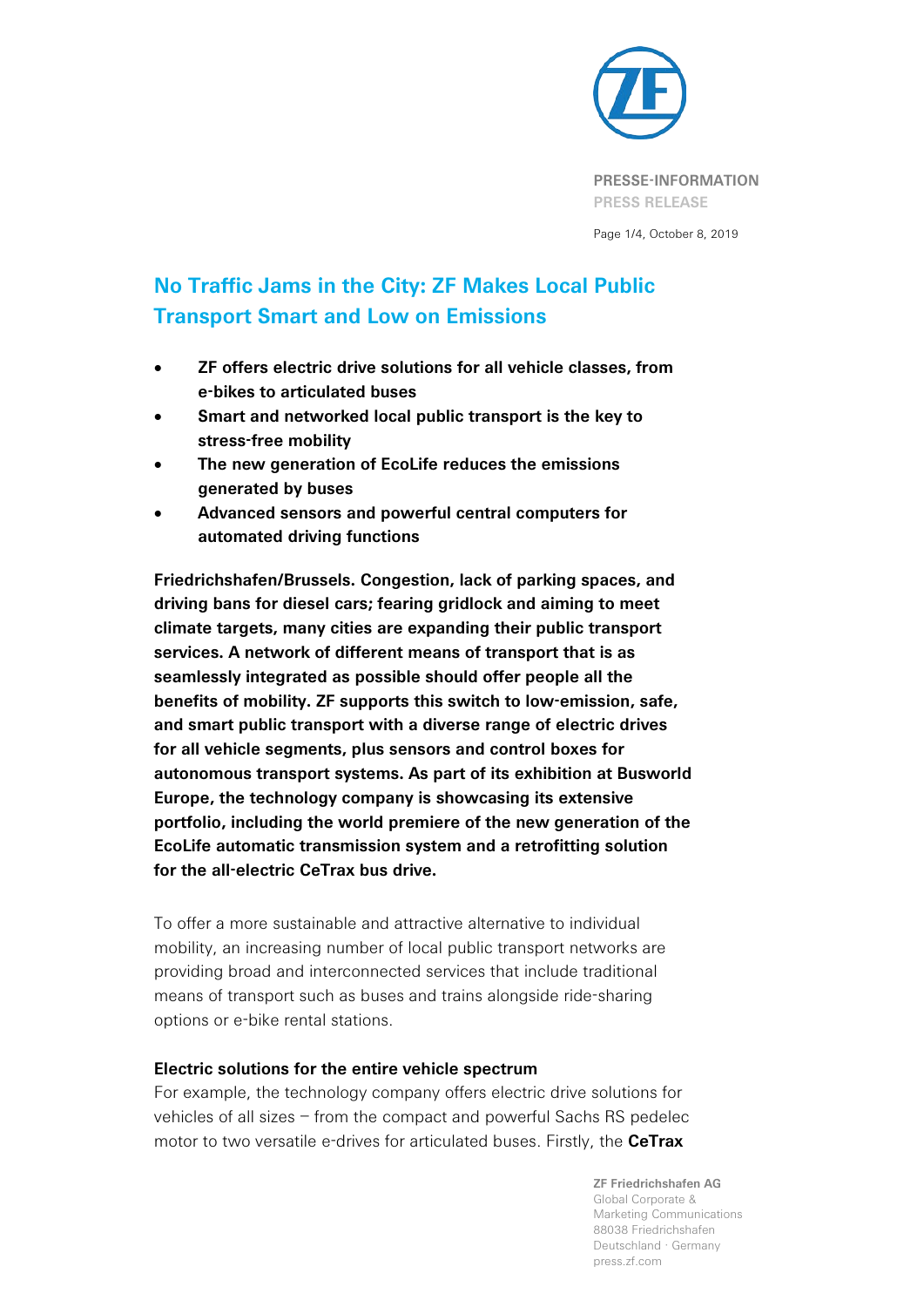

Page 1/4, October 8, 2019

# **No Traffic Jams in the City: ZF Makes Local Public Transport Smart and Low on Emissions**

- **ZF offers electric drive solutions for all vehicle classes, from e-bikes to articulated buses**
- **Smart and networked local public transport is the key to stress-free mobility**
- **The new generation of EcoLife reduces the emissions generated by buses**
- **Advanced sensors and powerful central computers for automated driving functions**

**Friedrichshafen/Brussels. Congestion, lack of parking spaces, and driving bans for diesel cars; fearing gridlock and aiming to meet climate targets, many cities are expanding their public transport services. A network of different means of transport that is as seamlessly integrated as possible should offer people all the benefits of mobility. ZF supports this switch to low-emission, safe, and smart public transport with a diverse range of electric drives for all vehicle segments, plus sensors and control boxes for autonomous transport systems. As part of its exhibition at Busworld Europe, the technology company is showcasing its extensive portfolio, including the world premiere of the new generation of the EcoLife automatic transmission system and a retrofitting solution for the all-electric CeTrax bus drive.**

To offer a more sustainable and attractive alternative to individual mobility, an increasing number of local public transport networks are providing broad and interconnected services that include traditional means of transport such as buses and trains alongside ride-sharing options or e-bike rental stations.

# **Electric solutions for the entire vehicle spectrum**

For example, the technology company offers electric drive solutions for vehicles of all sizes – from the compact and powerful Sachs RS pedelec motor to two versatile e-drives for articulated buses. Firstly, the **CeTrax**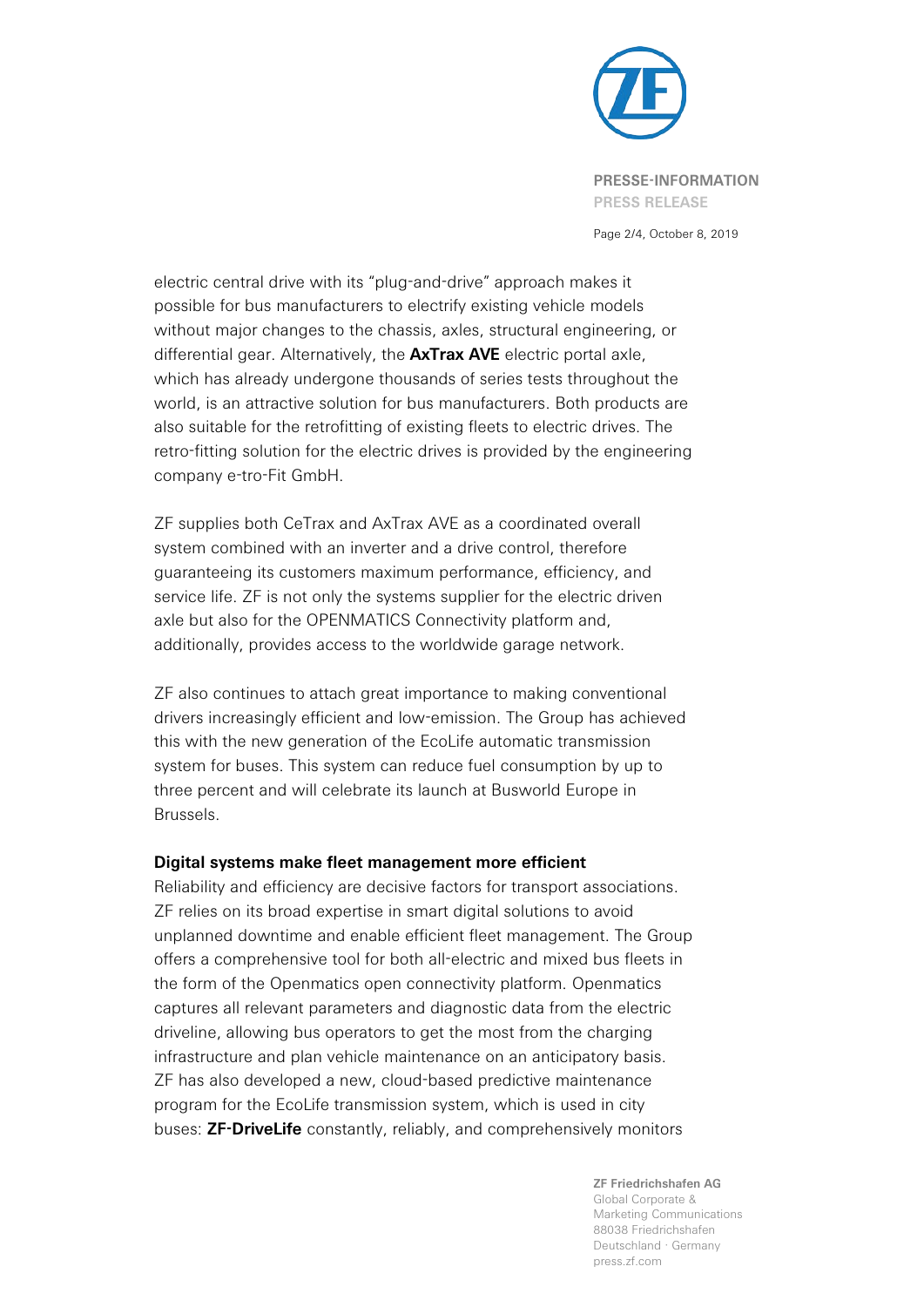

Page 2/4, October 8, 2019

electric central drive with its "plug-and-drive" approach makes it possible for bus manufacturers to electrify existing vehicle models without major changes to the chassis, axles, structural engineering, or differential gear. Alternatively, the **AxTrax AVE** electric portal axle, which has already undergone thousands of series tests throughout the world, is an attractive solution for bus manufacturers. Both products are also suitable for the retrofitting of existing fleets to electric drives. The retro-fitting solution for the electric drives is provided by the engineering company e-tro-Fit GmbH.

ZF supplies both CeTrax and AxTrax AVE as a coordinated overall system combined with an inverter and a drive control, therefore guaranteeing its customers maximum performance, efficiency, and service life. ZF is not only the systems supplier for the electric driven axle but also for the OPENMATICS Connectivity platform and, additionally, provides access to the worldwide garage network.

ZF also continues to attach great importance to making conventional drivers increasingly efficient and low-emission. The Group has achieved this with the new generation of the EcoLife automatic transmission system for buses. This system can reduce fuel consumption by up to three percent and will celebrate its launch at Busworld Europe in Brussels.

### **Digital systems make fleet management more efficient**

Reliability and efficiency are decisive factors for transport associations. ZF relies on its broad expertise in smart digital solutions to avoid unplanned downtime and enable efficient fleet management. The Group offers a comprehensive tool for both all-electric and mixed bus fleets in the form of the Openmatics open connectivity platform. Openmatics captures all relevant parameters and diagnostic data from the electric driveline, allowing bus operators to get the most from the charging infrastructure and plan vehicle maintenance on an anticipatory basis. ZF has also developed a new, cloud-based predictive maintenance program for the EcoLife transmission system, which is used in city buses: **ZF-DriveLife** constantly, reliably, and comprehensively monitors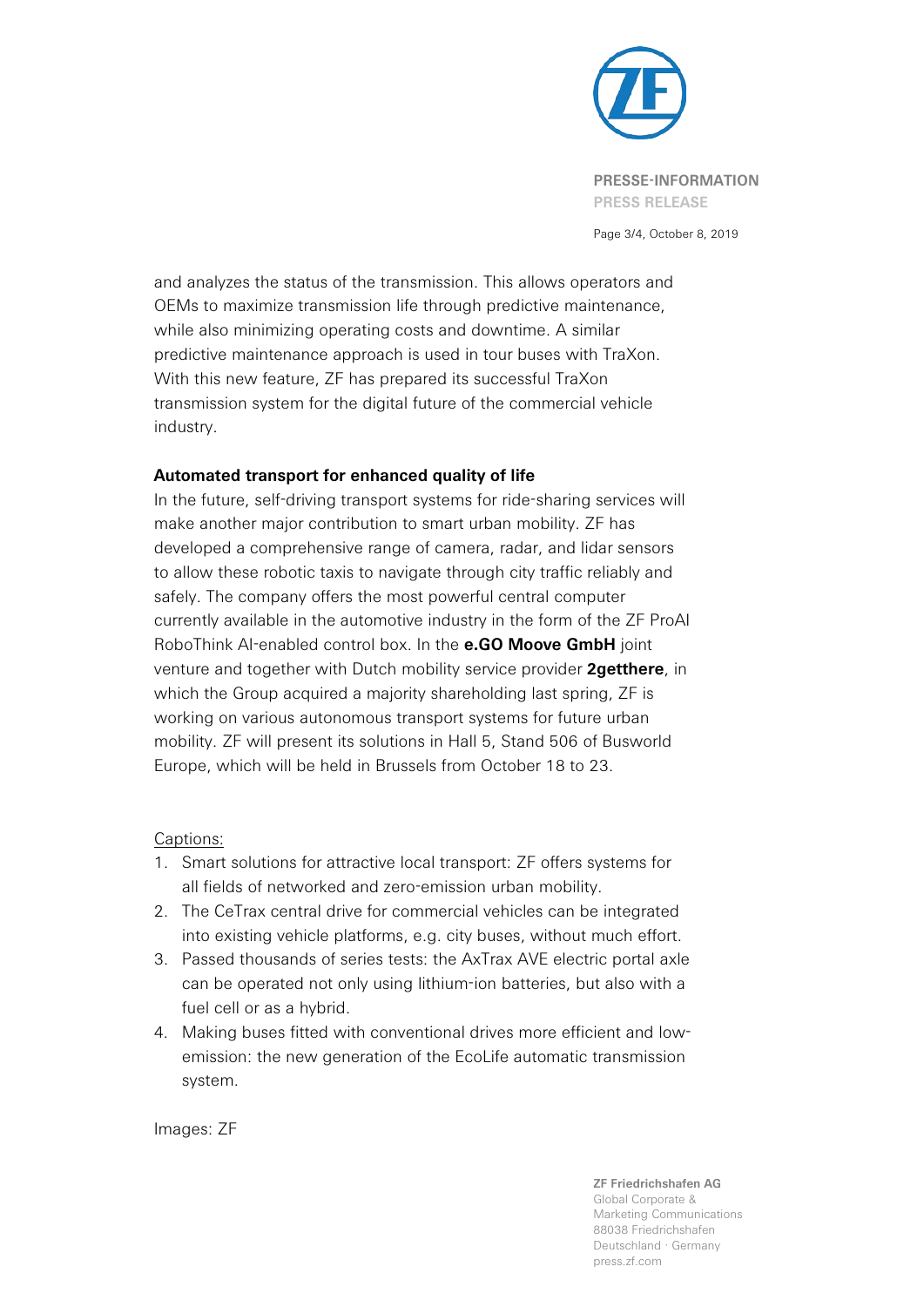

Page 3/4, October 8, 2019

and analyzes the status of the transmission. This allows operators and OEMs to maximize transmission life through predictive maintenance, while also minimizing operating costs and downtime. A similar predictive maintenance approach is used in tour buses with TraXon. With this new feature, ZF has prepared its successful TraXon transmission system for the digital future of the commercial vehicle industry.

# **Automated transport for enhanced quality of life**

In the future, self-driving transport systems for ride-sharing services will make another major contribution to smart urban mobility. ZF has developed a comprehensive range of camera, radar, and lidar sensors to allow these robotic taxis to navigate through city traffic reliably and safely. The company offers the most powerful central computer currently available in the automotive industry in the form of the ZF ProAI RoboThink AI-enabled control box. In the **e.GO Moove GmbH** joint venture and together with Dutch mobility service provider **2getthere**, in which the Group acquired a majority shareholding last spring, ZF is working on various autonomous transport systems for future urban mobility. ZF will present its solutions in Hall 5, Stand 506 of Busworld Europe, which will be held in Brussels from October 18 to 23.

# Captions:

- 1. Smart solutions for attractive local transport: ZF offers systems for all fields of networked and zero-emission urban mobility.
- 2. The CeTrax central drive for commercial vehicles can be integrated into existing vehicle platforms, e.g. city buses, without much effort.
- 3. Passed thousands of series tests: the AxTrax AVE electric portal axle can be operated not only using lithium-ion batteries, but also with a fuel cell or as a hybrid.
- 4. Making buses fitted with conventional drives more efficient and lowemission: the new generation of the EcoLife automatic transmission system.

Images: ZF